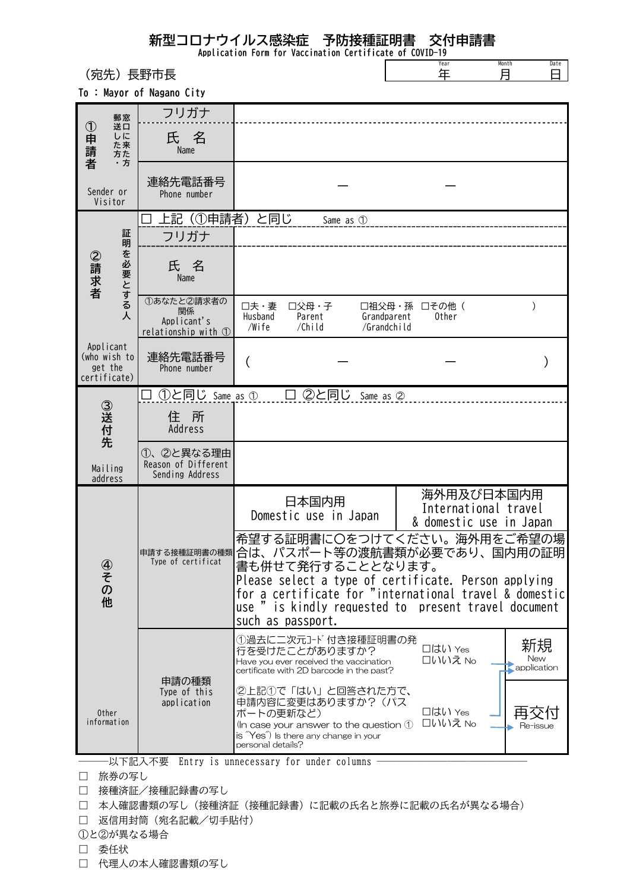## 新型コロナウイルス感染症 予防接種証明書 交付申請書

Application Form for Vaccination Certificate of COVID-19

|        | 長野市長<br>of Nagano City        |           | Year<br>年 | Month<br>日 | Date |
|--------|-------------------------------|-----------|-----------|------------|------|
| -<br>₹ | フリガナ                          |           |           |            |      |
|        | 氏 名<br>Name                   |           |           |            |      |
|        | 連絡先電話番号<br>Phone number       |           |           |            |      |
| I<br>A | □ 上記 (①申請者) と同じ<br>フリガナ       | Same as 1 |           |            |      |
|        | $\overline{\phantom{a}}$<br>— |           |           |            |      |

To : Mayor

(宛先)

|                      | 郵窓                                                   | フリガナ                                                             |                                                                                                                                                                                                                                 |                                                               |  |  |  |
|----------------------|------------------------------------------------------|------------------------------------------------------------------|---------------------------------------------------------------------------------------------------------------------------------------------------------------------------------------------------------------------------------|---------------------------------------------------------------|--|--|--|
| ①申請者                 | 送口<br>しに<br>た来<br>方た<br>・方                           | 氏 名<br>Name                                                      |                                                                                                                                                                                                                                 |                                                               |  |  |  |
|                      | Sender or<br>Visitor                                 | 連絡先電話番号<br>Phone number                                          |                                                                                                                                                                                                                                 |                                                               |  |  |  |
|                      | 証<br>明<br>を必要とする人<br>②請求者                            | 上記(①申請者)と同じ                                                      | Same as 1                                                                                                                                                                                                                       |                                                               |  |  |  |
|                      |                                                      | フリガナ                                                             |                                                                                                                                                                                                                                 |                                                               |  |  |  |
|                      |                                                      | 氏名<br>Name                                                       |                                                                                                                                                                                                                                 |                                                               |  |  |  |
|                      |                                                      | 1あなたと2請求者の<br>関係<br>Applicant's<br>relationship with $\mathbb O$ | □夫・妻<br>口父母・子<br>Husband<br>Parent<br>Grandparent<br>/Wife<br>/Child<br>/Grandchild                                                                                                                                             | □祖父母・孫 □その他(<br>Other                                         |  |  |  |
|                      | Applicant<br>(who wish to<br>get the<br>certificate) | 連絡先電話番号<br>Phone number                                          | (                                                                                                                                                                                                                               |                                                               |  |  |  |
|                      |                                                      |                                                                  | ①と同じ same as ①   囗 ②と同じ same as ②                                                                                                                                                                                               |                                                               |  |  |  |
| ③送付先                 |                                                      | 住所<br>Address                                                    |                                                                                                                                                                                                                                 |                                                               |  |  |  |
|                      | Mailing<br>address                                   | ①、②と異なる理由<br>Reason of Different<br>Sending Address              |                                                                                                                                                                                                                                 |                                                               |  |  |  |
|                      | 4)<br>≠<br>の<br>他                                    | 申請する接種証明書の種類<br>Type of certificat                               | 日本国内用<br>Domestic use in Japan                                                                                                                                                                                                  | 海外用及び日本国内用<br>International travel<br>& domestic use in Japan |  |  |  |
|                      |                                                      |                                                                  | 希望する証明書に〇をつけてください。海外用をご希望の場<br>合は、パスポート等の渡航書類が必要であり、国内用の証明<br>書も併せて発行することとなります。<br>Please select a type of certificate. Person applying<br>for a certificate for "international travel & domestic<br>use "<br>such as passport. | is kindly requested to present travel document                |  |  |  |
|                      |                                                      |                                                                  | ①過去に二次元コード付き接種証明書の発<br>行を受けたことがありますか?<br>Have you ever received the vaccination<br>certificate with 2D barcode in the past?                                                                                                     | 新規<br>口はい Yes<br>New<br>□いいえ No<br>application                |  |  |  |
| 0ther<br>information |                                                      | 申請の種類<br>Type of this<br>application                             | ②上記①で「はい」と回答された方で、<br>申請内容に変更はありますか?(パス<br>ポートの更新など)<br>(In case your answer to the question $\bigcirc$<br>is "Yes") Is there any change in your<br>personal details?                                                           | 口はい Yes<br>□いいえ No<br>Re-issue                                |  |  |  |
|                      | ·以下記入不要<br>Entry is unnecessary for under columns    |                                                                  |                                                                                                                                                                                                                                 |                                                               |  |  |  |

- □ 旅券の写し
- □ 接種済証/接種記録書の写し
- □ 本人確認書類の写し(接種済証(接種記録書)に記載の氏名と旅券に記載の氏名が異なる場合)
- □ 返信用封筒(宛名記載/切手貼付)
- ①と②が異なる場合
- □ 委任状
- □ 代理人の本人確認書類の写し